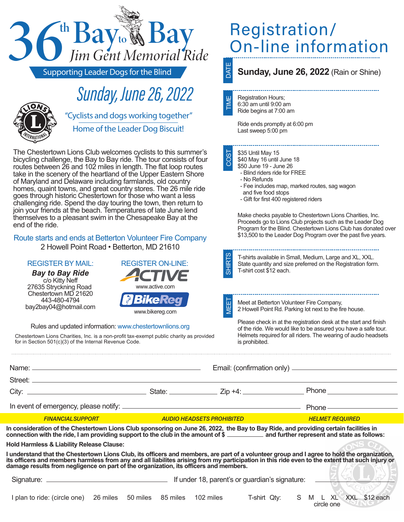| <sup>n</sup> Bay <sub>to</sub> & Bay                                                                                                                                                                                                                                                                                                                                                                                                                                                                                                                                                                                                                                                                                                                                                                                                                                                                                                                       | Registration/<br>On-line information<br>DATE                                                                                                                                                                                                                                                                                                                                                                                                                                                                                                                                                                                                                                       |
|------------------------------------------------------------------------------------------------------------------------------------------------------------------------------------------------------------------------------------------------------------------------------------------------------------------------------------------------------------------------------------------------------------------------------------------------------------------------------------------------------------------------------------------------------------------------------------------------------------------------------------------------------------------------------------------------------------------------------------------------------------------------------------------------------------------------------------------------------------------------------------------------------------------------------------------------------------|------------------------------------------------------------------------------------------------------------------------------------------------------------------------------------------------------------------------------------------------------------------------------------------------------------------------------------------------------------------------------------------------------------------------------------------------------------------------------------------------------------------------------------------------------------------------------------------------------------------------------------------------------------------------------------|
| <b>Supporting Leader Dogs for the Blind</b>                                                                                                                                                                                                                                                                                                                                                                                                                                                                                                                                                                                                                                                                                                                                                                                                                                                                                                                | Sunday, June 26, 2022 (Rain or Shine)                                                                                                                                                                                                                                                                                                                                                                                                                                                                                                                                                                                                                                              |
| <b>Sunday, June 26, 2022</b><br>"Cyclists and dogs working together"<br>Home of the Leader Dog Biscuit!                                                                                                                                                                                                                                                                                                                                                                                                                                                                                                                                                                                                                                                                                                                                                                                                                                                    | <b>Registration Hours;</b><br>TIME<br>6:30 am until 9:00 am<br>Ride begins at 7:00 am<br>Ride ends promptly at 6:00 pm<br>Last sweep 5:00 pm                                                                                                                                                                                                                                                                                                                                                                                                                                                                                                                                       |
| The Chestertown Lions Club welcomes cyclists to this summer's<br>bicycling challenge, the Bay to Bay ride. The tour consists of four<br>routes between 26 and 102 miles in length. The flat loop routes<br>take in the scenery of the heartland of the Upper Eastern Shore<br>of Maryland and Delaware including farmlands, old country<br>homes, quaint towns, and great country stores. The 26 mile ride<br>goes through historic Chestertown for those who want a less<br>challenging ride. Spend the day touring the town, then return to<br>join your friends at the beach. Temperatures of late June lend<br>themselves to a pleasant swim in the Chesapeake Bay at the<br>end of the ride.<br>Route starts and ends at Betterton Volunteer Fire Company<br>2 Howell Point Road . Betterton, MD 21610<br><b>REGISTER BY MAIL:</b><br><b>REGISTER ON-LINE:</b><br><b>Bay to Bay Ride</b><br>c/o Kitty Neff<br>27635 Stryckning Road<br>www.active.com | COST<br>\$35 Until May 15<br>\$40 May 16 until June 18<br>\$50 June 19 - June 26<br>- Blind riders ride for FREE<br>- No Refunds<br>- Fee includes map, marked routes, sag wagon<br>and five food stops<br>- Gift for first 400 registered riders<br>Make checks payable to Chestertown Lions Charities, Inc.<br>Proceeds go to Lions Club projects such as the Leader Dog<br>Program for the Blind. Chestertown Lions Club has donated over<br>\$13,500 to the Leader Dog Program over the past five years.<br><b>SHIRTS</b><br>T-shirts available in Small, Medium, Large and XL, XXL.<br>State quantity and size preferred on the Registration form.<br>T-shirt cost \$12 each. |
| Chestertown MD 21620<br><b>MBikeReg</b><br>443-480-4794<br>bay2bay04@hotmail.com<br>www.bikereg.com                                                                                                                                                                                                                                                                                                                                                                                                                                                                                                                                                                                                                                                                                                                                                                                                                                                        | 园<br>Meet at Betterton Volunteer Fire Company,<br>WEI<br>2 Howell Point Rd. Parking lot next to the fire house.                                                                                                                                                                                                                                                                                                                                                                                                                                                                                                                                                                    |
| Rules and updated information: www.chestertownlions.org<br>Chestertown Lions Charities, Inc. is a non-profit tax-exempt public charity as provided<br>for in Section 501(c)(3) of the Internal Revenue Code.                                                                                                                                                                                                                                                                                                                                                                                                                                                                                                                                                                                                                                                                                                                                               | Please check in at the registration desk at the start and finish<br>of the ride. We would like to be assured you have a safe tour.<br>Helmets required for all riders. The wearing of audio headsets<br>is prohibited.                                                                                                                                                                                                                                                                                                                                                                                                                                                             |
|                                                                                                                                                                                                                                                                                                                                                                                                                                                                                                                                                                                                                                                                                                                                                                                                                                                                                                                                                            |                                                                                                                                                                                                                                                                                                                                                                                                                                                                                                                                                                                                                                                                                    |
|                                                                                                                                                                                                                                                                                                                                                                                                                                                                                                                                                                                                                                                                                                                                                                                                                                                                                                                                                            |                                                                                                                                                                                                                                                                                                                                                                                                                                                                                                                                                                                                                                                                                    |
|                                                                                                                                                                                                                                                                                                                                                                                                                                                                                                                                                                                                                                                                                                                                                                                                                                                                                                                                                            |                                                                                                                                                                                                                                                                                                                                                                                                                                                                                                                                                                                                                                                                                    |
|                                                                                                                                                                                                                                                                                                                                                                                                                                                                                                                                                                                                                                                                                                                                                                                                                                                                                                                                                            |                                                                                                                                                                                                                                                                                                                                                                                                                                                                                                                                                                                                                                                                                    |
| <b>FINANCIAL SUPPORT</b><br><b>AUDIO HEADSETS PROHIBITED</b>                                                                                                                                                                                                                                                                                                                                                                                                                                                                                                                                                                                                                                                                                                                                                                                                                                                                                               | <b>HELMET REQUIRED</b>                                                                                                                                                                                                                                                                                                                                                                                                                                                                                                                                                                                                                                                             |
| In consideration of the Chestertown Lions Club sponsoring on June 26, 2022, the Bay to Bay Ride, and providing certain facilities in<br>connection with the ride, I am providing support to the club in the amount of \$ _________<br><b>Hold Harmless &amp; Liability Release Clause:</b><br>I understand that the Chestertown Lions Club, its officers and members, are part of a volunteer group and I agree to hold the organization,<br>its officers and members harmless from any and all liabilites arising from my participation in this ride even to the extent that such injury or<br>damage results from negligence on part of the organization, its officers and members.                                                                                                                                                                                                                                                                      |                                                                                                                                                                                                                                                                                                                                                                                                                                                                                                                                                                                                                                                                                    |
|                                                                                                                                                                                                                                                                                                                                                                                                                                                                                                                                                                                                                                                                                                                                                                                                                                                                                                                                                            |                                                                                                                                                                                                                                                                                                                                                                                                                                                                                                                                                                                                                                                                                    |
| I plan to ride: (circle one) 26 miles 50 miles 85 miles 102 miles                                                                                                                                                                                                                                                                                                                                                                                                                                                                                                                                                                                                                                                                                                                                                                                                                                                                                          | M L XL XXL \$12 each<br>T-shirt Qty:<br>S<br>circle one                                                                                                                                                                                                                                                                                                                                                                                                                                                                                                                                                                                                                            |